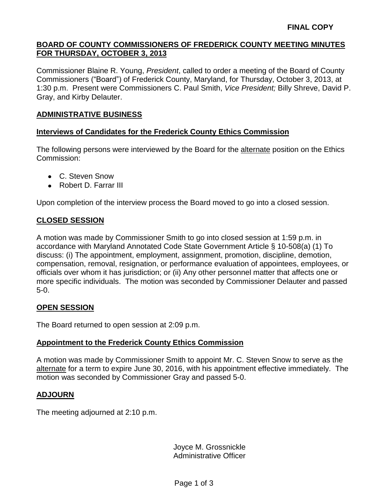#### **BOARD OF COUNTY COMMISSIONERS OF FREDERICK COUNTY MEETING MINUTES FOR THURSDAY, OCTOBER 3, 2013**

Commissioner Blaine R. Young, *President*, called to order a meeting of the Board of County Commissioners ("Board") of Frederick County, Maryland, for Thursday, October 3, 2013, at 1:30 p.m. Present were Commissioners C. Paul Smith, *Vice President;* Billy Shreve, David P. Gray, and Kirby Delauter.

#### **ADMINISTRATIVE BUSINESS**

#### **Interviews of Candidates for the Frederick County Ethics Commission**

The following persons were interviewed by the Board for the alternate position on the Ethics Commission:

- C. Steven Snow
- Robert D. Farrar III

Upon completion of the interview process the Board moved to go into a closed session.

# **CLOSED SESSION**

A motion was made by Commissioner Smith to go into closed session at 1:59 p.m. in accordance with Maryland Annotated Code State Government Article § 10-508(a) (1) To discuss: (i) The appointment, employment, assignment, promotion, discipline, demotion, compensation, removal, resignation, or performance evaluation of appointees, employees, or officials over whom it has jurisdiction; or (ii) Any other personnel matter that affects one or more specific individuals. The motion was seconded by Commissioner Delauter and passed 5-0.

# **OPEN SESSION**

The Board returned to open session at 2:09 p.m.

# **Appointment to the Frederick County Ethics Commission**

A motion was made by Commissioner Smith to appoint Mr. C. Steven Snow to serve as the alternate for a term to expire June 30, 2016, with his appointment effective immediately. The motion was seconded by Commissioner Gray and passed 5-0.

# **ADJOURN**

The meeting adjourned at 2:10 p.m.

Joyce M. Grossnickle Administrative Officer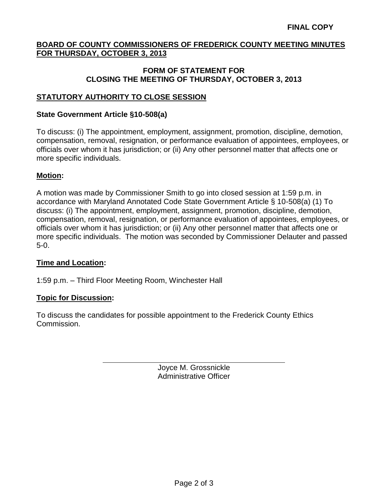### **BOARD OF COUNTY COMMISSIONERS OF FREDERICK COUNTY MEETING MINUTES FOR THURSDAY, OCTOBER 3, 2013**

#### **FORM OF STATEMENT FOR CLOSING THE MEETING OF THURSDAY, OCTOBER 3, 2013**

# **STATUTORY AUTHORITY TO CLOSE SESSION**

#### **State Government Article §10-508(a)**

To discuss: (i) The appointment, employment, assignment, promotion, discipline, demotion, compensation, removal, resignation, or performance evaluation of appointees, employees, or officials over whom it has jurisdiction; or (ii) Any other personnel matter that affects one or more specific individuals.

### **Motion:**

A motion was made by Commissioner Smith to go into closed session at 1:59 p.m. in accordance with Maryland Annotated Code State Government Article § 10-508(a) (1) To discuss: (i) The appointment, employment, assignment, promotion, discipline, demotion, compensation, removal, resignation, or performance evaluation of appointees, employees, or officials over whom it has jurisdiction; or (ii) Any other personnel matter that affects one or more specific individuals. The motion was seconded by Commissioner Delauter and passed 5-0.

#### **Time and Location:**

1:59 p.m. – Third Floor Meeting Room, Winchester Hall

#### **Topic for Discussion:**

To discuss the candidates for possible appointment to the Frederick County Ethics Commission.

> Joyce M. Grossnickle Administrative Officer